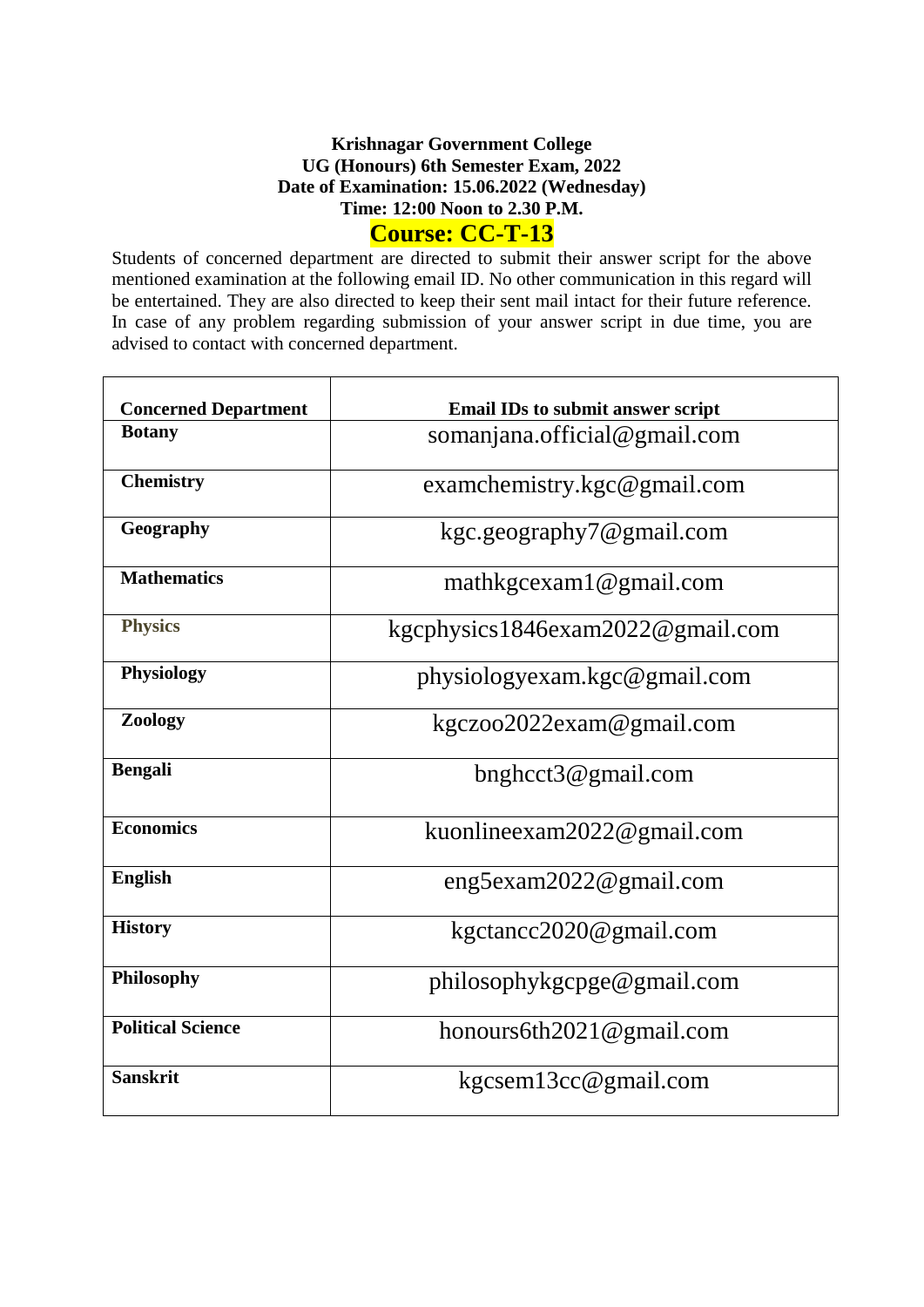## **Krishnagar Government College UG (Honours) 6th Semester Exam, 2022 Date of Examination: 15.06.2022 (Wednesday) Time: 12:00 Noon to 2.30 P.M. Course: CC-T-13**

Students of concerned department are directed to submit their answer script for the above mentioned examination at the following email ID. No other communication in this regard will be entertained. They are also directed to keep their sent mail intact for their future reference. In case of any problem regarding submission of your answer script in due time, you are advised to contact with concerned department.

| <b>Concerned Department</b> | <b>Email IDs to submit answer script</b> |  |  |  |  |
|-----------------------------|------------------------------------------|--|--|--|--|
| <b>Botany</b>               | somanjana.official@gmail.com             |  |  |  |  |
| <b>Chemistry</b>            | examchemistry.kgc@gmail.com              |  |  |  |  |
| Geography                   | kgc.geography7@gmail.com                 |  |  |  |  |
| <b>Mathematics</b>          | mathkgcexam1@gmail.com                   |  |  |  |  |
| <b>Physics</b>              | kgcphysics1846exam2022@gmail.com         |  |  |  |  |
| <b>Physiology</b>           | physiologyexam.kgc@gmail.com             |  |  |  |  |
| Zoology                     | kgczoo2022exam@gmail.com                 |  |  |  |  |
| <b>Bengali</b>              | $b$ nghcct $3@$ gmail.com                |  |  |  |  |
| <b>Economics</b>            | kuonlineexam2022@gmail.com               |  |  |  |  |
| <b>English</b>              | $eng5$ exam $2022$ @gmail.com            |  |  |  |  |
| <b>History</b>              | kgctancc2020@gmail.com                   |  |  |  |  |
| Philosophy                  | philosophykgcpge@gmail.com               |  |  |  |  |
| <b>Political Science</b>    | honours6th2021@gmail.com                 |  |  |  |  |
| <b>Sanskrit</b>             | kgcsem13cc@gmail.com                     |  |  |  |  |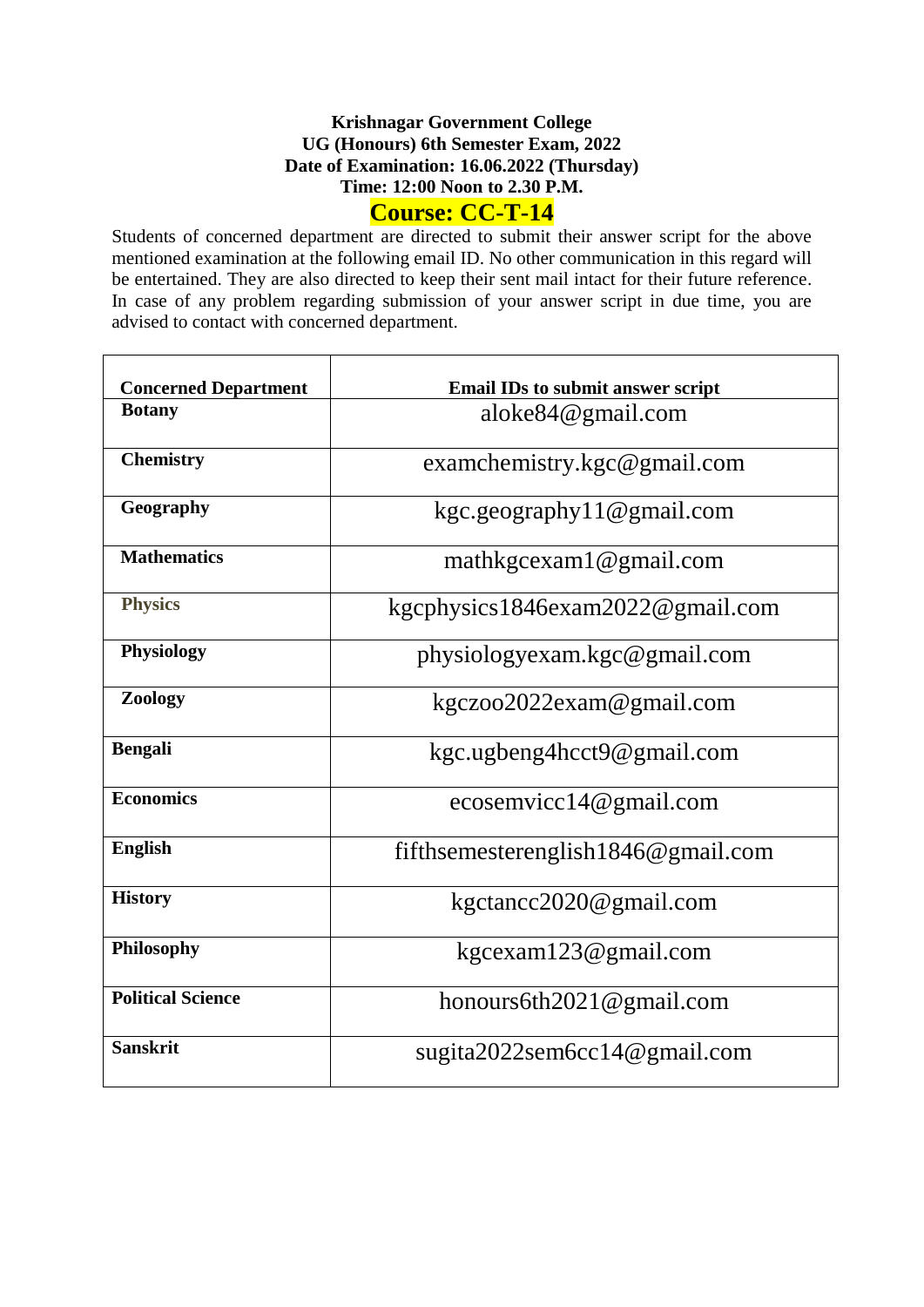## **Krishnagar Government College UG (Honours) 6th Semester Exam, 2022 Date of Examination: 16.06.2022 (Thursday) Time: 12:00 Noon to 2.30 P.M.**

# **Course: CC-T-14**

Students of concerned department are directed to submit their answer script for the above mentioned examination at the following email ID. No other communication in this regard will be entertained. They are also directed to keep their sent mail intact for their future reference. In case of any problem regarding submission of your answer script in due time, you are advised to contact with concerned department.

| <b>Concerned Department</b> | <b>Email IDs to submit answer script</b> |  |  |  |  |
|-----------------------------|------------------------------------------|--|--|--|--|
| <b>Botany</b>               | aloke $84@$ gmail.com                    |  |  |  |  |
| <b>Chemistry</b>            | examchemistry.kgc@gmail.com              |  |  |  |  |
| Geography                   | kgc.geography11@gmail.com                |  |  |  |  |
| <b>Mathematics</b>          | mathkgcexam1@gmail.com                   |  |  |  |  |
| <b>Physics</b>              | kgcphysics1846exam2022@gmail.com         |  |  |  |  |
| <b>Physiology</b>           | physiologyexam.kgc@gmail.com             |  |  |  |  |
| Zoology                     | kgczoo2022exam@gmail.com                 |  |  |  |  |
| <b>Bengali</b>              | kgc.ugbeng4hcct9@gmail.com               |  |  |  |  |
| <b>Economics</b>            | ecosemvicc14@gmail.com                   |  |  |  |  |
| <b>English</b>              | fifthsemesterenglish $1846@$ gmail.com   |  |  |  |  |
| <b>History</b>              | kgctancc2020@gmail.com                   |  |  |  |  |
| Philosophy                  | kgcexam123@gmail.com                     |  |  |  |  |
| <b>Political Science</b>    | honours6th2021@gmail.com                 |  |  |  |  |
| <b>Sanskrit</b>             | sugita2022sem6cc14@gmail.com             |  |  |  |  |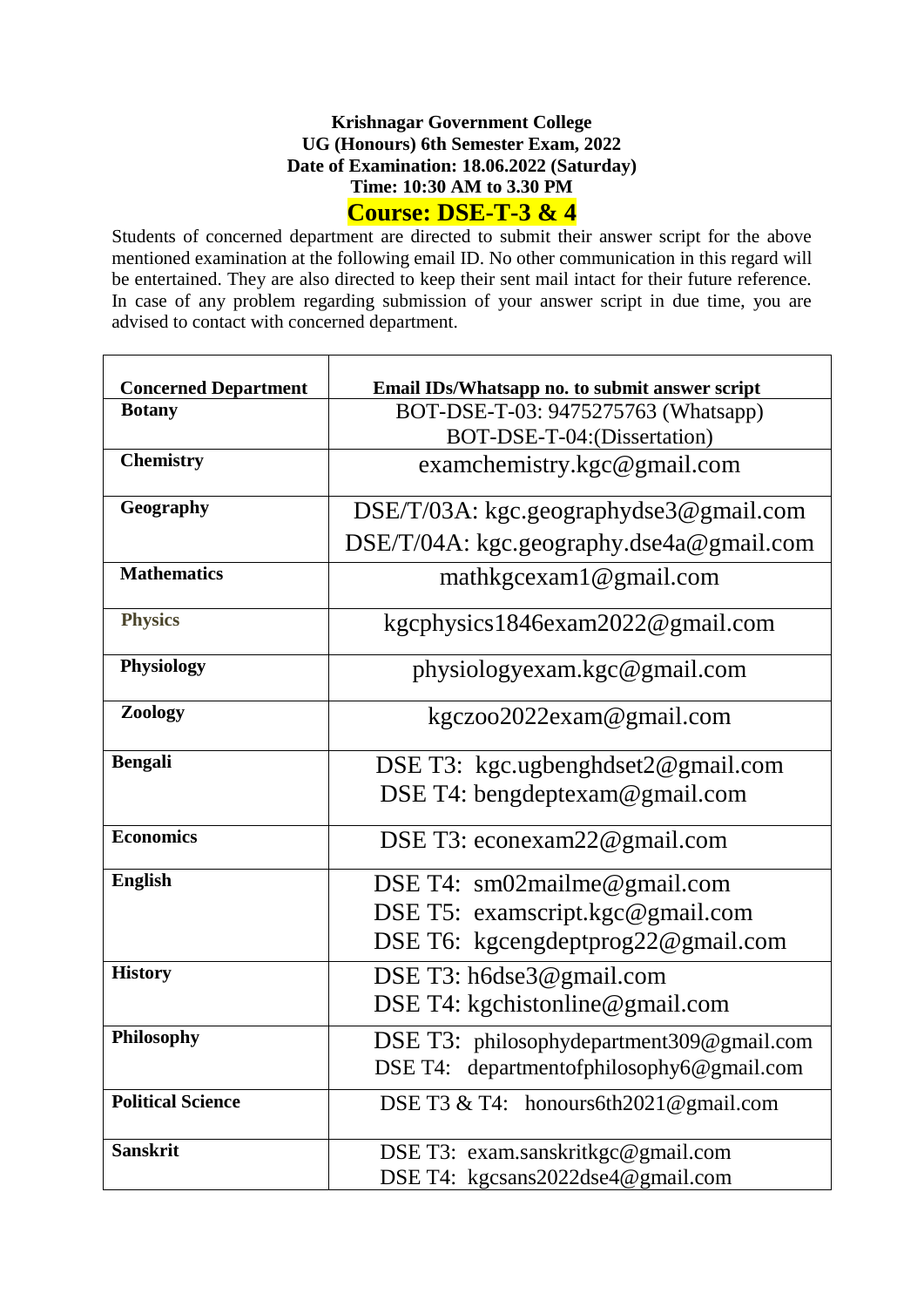#### **Krishnagar Government College UG (Honours) 6th Semester Exam, 2022 Date of Examination: 18.06.2022 (Saturday) Time: 10:30 AM to 3.30 PM Course: DSE-T-3 & 4**

Students of concerned department are directed to submit their answer script for the above mentioned examination at the following email ID. No other communication in this regard will be entertained. They are also directed to keep their sent mail intact for their future reference. In case of any problem regarding submission of your answer script in due time, you are advised to contact with concerned department.

| <b>Concerned Department</b> | Email IDs/Whatsapp no. to submit answer script |  |  |  |  |  |
|-----------------------------|------------------------------------------------|--|--|--|--|--|
| <b>Botany</b>               | BOT-DSE-T-03: 9475275763 (Whatsapp)            |  |  |  |  |  |
|                             | BOT-DSE-T-04: (Dissertation)                   |  |  |  |  |  |
| <b>Chemistry</b>            | examchemistry.kgc@gmail.com                    |  |  |  |  |  |
| Geography                   | $DSE/T/03A$ : kgc.geographydse3@gmail.com      |  |  |  |  |  |
|                             | $DSE/T/04A$ : kgc.geography.dse4a@gmail.com    |  |  |  |  |  |
| <b>Mathematics</b>          | mathkgcexam1@gmail.com                         |  |  |  |  |  |
| <b>Physics</b>              | kgcphysics1846exam2022@gmail.com               |  |  |  |  |  |
| <b>Physiology</b>           | physiologyexam.kgc@gmail.com                   |  |  |  |  |  |
| Zoology                     | kgczoo2022exam@gmail.com                       |  |  |  |  |  |
| <b>Bengali</b>              | DSE T3: kgc.ugbenghdset2@gmail.com             |  |  |  |  |  |
|                             | DSE T4: bengdeptexam@gmail.com                 |  |  |  |  |  |
| <b>Economics</b>            | DSE T3: econexam22@gmail.com                   |  |  |  |  |  |
| <b>English</b>              | DSE T4: $\text{sm02}$ mailme@gmail.com         |  |  |  |  |  |
|                             | DSE T5: examscript.kgc@gmail.com               |  |  |  |  |  |
|                             | DSE T6: kgcengdeptprog22@gmail.com             |  |  |  |  |  |
| <b>History</b>              | DSE T3: h6dse3@gmail.com                       |  |  |  |  |  |
|                             | DSE T4: kgchistonline@gmail.com                |  |  |  |  |  |
| Philosophy                  | DSE T3: philosophydepartment309@gmail.com      |  |  |  |  |  |
|                             | DSE T4: department of philosophy 6@gmail.com   |  |  |  |  |  |
| <b>Political Science</b>    | DSE T3 & T4: honours6th2021@gmail.com          |  |  |  |  |  |
| <b>Sanskrit</b>             | DSE T3: exam.sanskritkgc@gmail.com             |  |  |  |  |  |
|                             | DSE T4: kgcsans2022dse4@gmail.com              |  |  |  |  |  |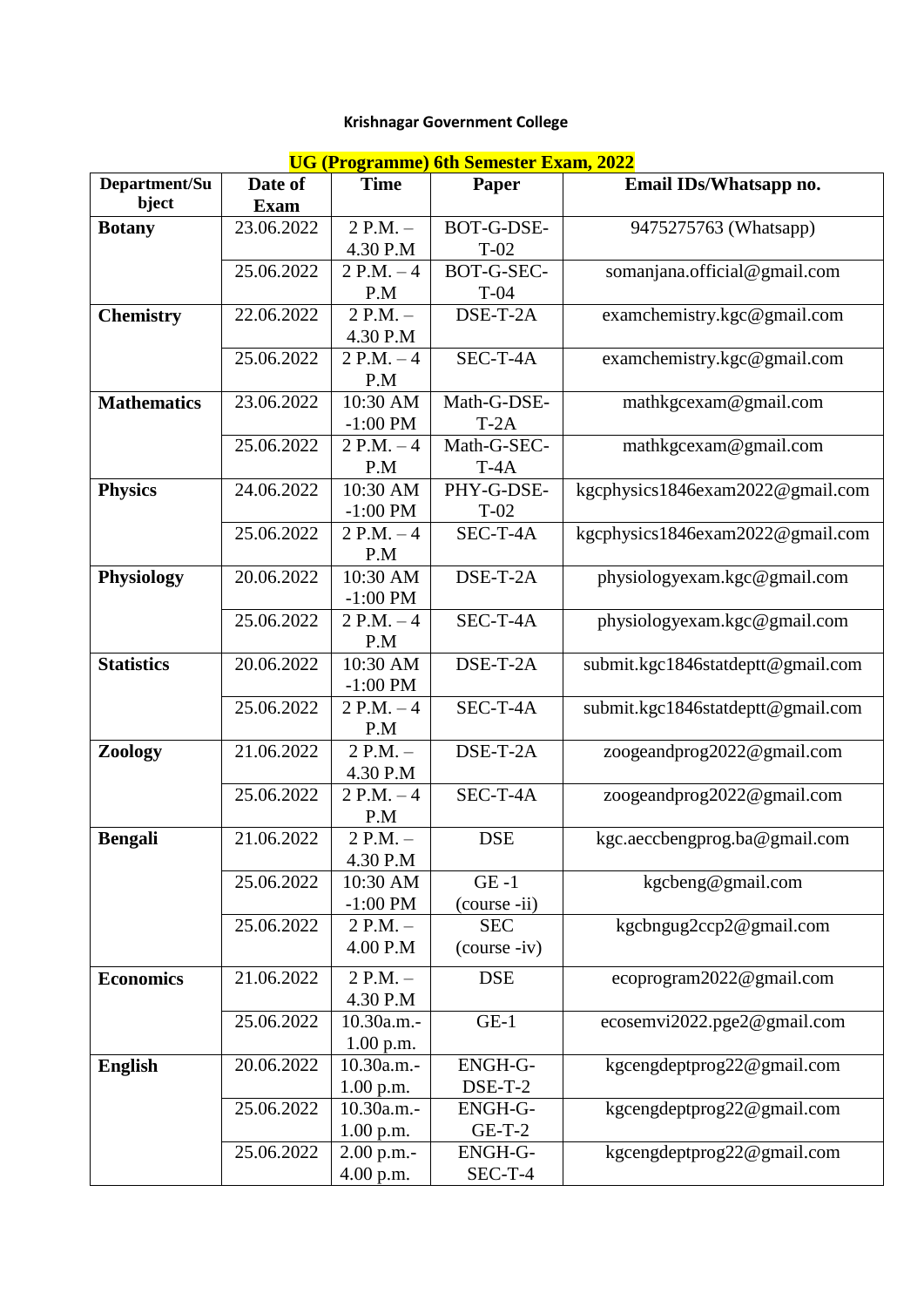# **Krishnagar Government College**

| <b>UG (Programme) 6th Semester Exam, 2022</b> |
|-----------------------------------------------|
|-----------------------------------------------|

|                    |             |              | <u>UG (1 Iugianniic) ulii seinestei Exam, 2022</u> |                                   |
|--------------------|-------------|--------------|----------------------------------------------------|-----------------------------------|
| Department/Su      | Date of     | <b>Time</b>  | Paper                                              | Email IDs/Whatsapp no.            |
| bject              | <b>Exam</b> |              |                                                    |                                   |
| <b>Botany</b>      | 23.06.2022  | $2 P.M. -$   | BOT-G-DSE-                                         | 9475275763 (Whatsapp)             |
|                    |             | 4.30 P.M     | $T-02$                                             |                                   |
|                    | 25.06.2022  | $2 P.M. - 4$ | BOT-G-SEC-                                         | somanjana.official@gmail.com      |
|                    |             | P.M          | $T-04$                                             |                                   |
| <b>Chemistry</b>   | 22.06.2022  | $2 P.M. -$   | DSE-T-2A                                           | examchemistry.kgc@gmail.com       |
|                    |             | 4.30 P.M     |                                                    |                                   |
|                    | 25.06.2022  | $2 P.M. - 4$ | SEC-T-4A                                           | examchemistry.kgc@gmail.com       |
|                    |             | P.M          |                                                    |                                   |
| <b>Mathematics</b> | 23.06.2022  | $10:30$ AM   | Math-G-DSE-                                        | mathkgcexam@gmail.com             |
|                    |             | $-1:00$ PM   | $T-2A$                                             |                                   |
|                    |             |              |                                                    |                                   |
|                    | 25.06.2022  | $2 P.M. -4$  | Math-G-SEC-                                        | mathkgcexam@gmail.com             |
|                    |             | P.M          | $T-4A$                                             |                                   |
| <b>Physics</b>     | 24.06.2022  | 10:30 AM     | PHY-G-DSE-                                         | kgcphysics1846exam2022@gmail.com  |
|                    |             | $-1:00$ PM   | $T-02$                                             |                                   |
|                    | 25.06.2022  | $2 P.M. - 4$ | SEC-T-4A                                           | kgcphysics1846exam2022@gmail.com  |
|                    |             | P.M          |                                                    |                                   |
| Physiology         | 20.06.2022  | 10:30 AM     | DSE-T-2A                                           | physiologyexam.kgc@gmail.com      |
|                    |             | $-1:00$ PM   |                                                    |                                   |
|                    | 25.06.2022  | $2 P.M. -4$  | SEC-T-4A                                           | physiologyexam.kgc@gmail.com      |
|                    |             | P.M          |                                                    |                                   |
| <b>Statistics</b>  | 20.06.2022  | 10:30 AM     | DSE-T-2A                                           | submit.kgc1846statdeptt@gmail.com |
|                    |             | $-1:00$ PM   |                                                    |                                   |
|                    | 25.06.2022  | $2 P.M. - 4$ | SEC-T-4A                                           | submit.kgc1846statdeptt@gmail.com |
|                    |             | P.M          |                                                    |                                   |
| Zoology            | 21.06.2022  | $2 P.M. -$   | DSE-T-2A                                           | zoogeandprog2022@gmail.com        |
|                    |             | 4.30 P.M     |                                                    |                                   |
|                    | 25.06.2022  | $2 P.M. - 4$ | $SEC-T-4A$                                         | zoogeandprog2022@gmail.com        |
|                    |             | P.M          |                                                    |                                   |
| <b>Bengali</b>     | 21.06.2022  | $2$ P.M. $-$ | <b>DSE</b>                                         | kgc.aeccbengprog.ba@gmail.com     |
|                    |             | 4.30 P.M     |                                                    |                                   |
|                    |             |              | $GE -1$                                            |                                   |
|                    | 25.06.2022  | 10:30 AM     |                                                    | kgcbeng@gmail.com                 |
|                    |             | $-1:00$ PM   | (course -ii)                                       |                                   |
|                    | 25.06.2022  | $2 P.M. -$   | <b>SEC</b>                                         | kgcbngug2ccp2@gmail.com           |
|                    |             | 4.00 P.M     | (course -iv)                                       |                                   |
| <b>Economics</b>   | 21.06.2022  | $2 P.M. -$   | <b>DSE</b>                                         | ecoprogram2022@gmail.com          |
|                    |             | 4.30 P.M     |                                                    |                                   |
|                    | 25.06.2022  | 10.30a.m.-   | $GE-1$                                             | ecosemvi2022.pge2@gmail.com       |
|                    |             | 1.00 p.m.    |                                                    |                                   |
| <b>English</b>     | 20.06.2022  | 10.30a.m.-   | <b>ENGH-G-</b>                                     | kgcengdeptprog22@gmail.com        |
|                    |             | 1.00 p.m.    | $DSE-T-2$                                          |                                   |
|                    | 25.06.2022  | 10.30a.m.-   | ENGH-G-                                            | kgcengdeptprog22@gmail.com        |
|                    |             |              | $GE-T-2$                                           |                                   |
|                    |             | 1.00 p.m.    |                                                    |                                   |
|                    | 25.06.2022  | $2.00$ p.m.- | <b>ENGH-G-</b>                                     | kgcengdeptprog22@gmail.com        |
|                    |             | 4.00 p.m.    | $SEC-T-4$                                          |                                   |